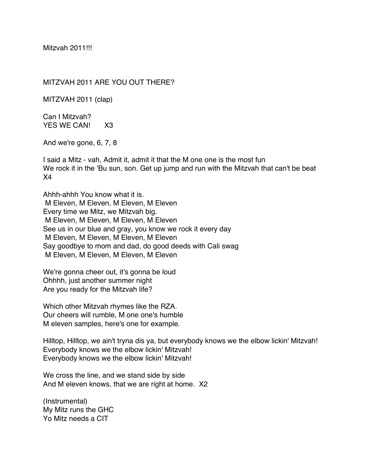Mitzvah 2011!!!

MITZVAH 2011 ARE YOU OUT THERE?

MITZVAH 2011 (clap)

Can I Mitzvah? YES WE CAN! X3

And we're gone, 6, 7, 8

I said a Mitz - vah, Admit it, admit it that the M one one is the most fun We rock it in the 'Bu sun, son. Get up jump and run with the Mitzvah that can't be beat X4

Ahhh-ahhh You know what it is. M Eleven, M Eleven, M Eleven, M Eleven Every time we Mitz, we Mitzvah big. M Eleven, M Eleven, M Eleven, M Eleven See us in our blue and gray, you know we rock it every day M Eleven, M Eleven, M Eleven, M Eleven Say goodbye to mom and dad, do good deeds with Cali swag M Eleven, M Eleven, M Eleven, M Eleven

We're gonna cheer out, it's gonna be loud Ohhhh, just another summer night Are you ready for the Mitzvah life?

Which other Mitzvah rhymes like the RZA. Our cheers will rumble, M one one's humble M eleven samples, here's one for example.

Hilltop, Hilltop, we ain't tryna dis ya, but everybody knows we the elbow lickin' Mitzvah! Everybody knows we the elbow lickin' Mitzvah! Everybody knows we the elbow lickin' Mitzvah!

We cross the line, and we stand side by side And M eleven knows, that we are right at home. X2

(Instrumental) My Mitz runs the GHC Yo Mitz needs a CIT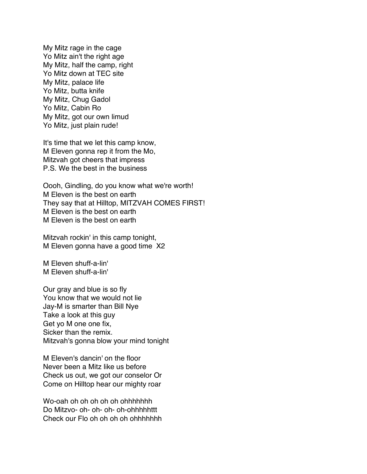My Mitz rage in the cage Yo Mitz ain't the right age My Mitz, half the camp, right Yo Mitz down at TEC site My Mitz, palace life Yo Mitz, butta knife My Mitz, Chug Gadol Yo Mitz, Cabin Ro My Mitz, got our own limud Yo Mitz, just plain rude!

It's time that we let this camp know, M Eleven gonna rep it from the Mo, Mitzvah got cheers that impress P.S. We the best in the business

Oooh, Gindling, do you know what we're worth! M Eleven is the best on earth They say that at Hilltop, MITZVAH COMES FIRST! M Eleven is the best on earth M Eleven is the best on earth

Mitzvah rockin' in this camp tonight, M Eleven gonna have a good time X2

M Eleven shuff-a-lin' M Eleven shuff-a-lin'

Our gray and blue is so fly You know that we would not lie Jay-M is smarter than Bill Nye Take a look at this guy Get yo M one one fix, Sicker than the remix. Mitzvah's gonna blow your mind tonight

M Eleven's dancin' on the floor Never been a Mitz like us before Check us out, we got our conselor Or Come on Hilltop hear our mighty roar

Wo-oah oh oh oh oh oh ohhhhhhh Do Mitzvo- oh- oh- oh- oh-ohhhhhttt Check our Flo oh oh oh oh ohhhhhhh